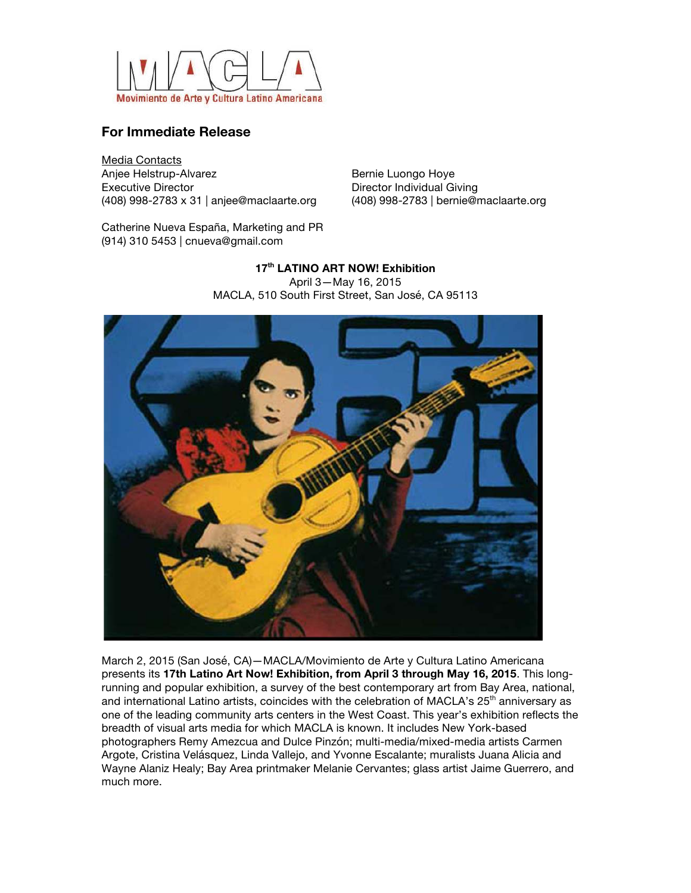

## **For Immediate Release**

Media Contacts Anjee Helstrup-Alvarez Executive Director (408) 998-2783 x 31 | anjee@maclaarte.org

Bernie Luongo Hoye Director Individual Giving (408) 998-2783 | bernie@maclaarte.org

Catherine Nueva España, Marketing and PR (914) 310 5453 | cnueva@gmail.com

> **17th LATINO ART NOW! Exhibition** April 3—May 16, 2015 MACLA, 510 South First Street, San José, CA 95113



March 2, 2015 (San José, CA)—MACLA/Movimiento de Arte y Cultura Latino Americana presents its **17th Latino Art Now! Exhibition, from April 3 through May 16, 2015**. This longrunning and popular exhibition, a survey of the best contemporary art from Bay Area, national, and international Latino artists, coincides with the celebration of MACLA's 25<sup>th</sup> anniversary as one of the leading community arts centers in the West Coast. This year's exhibition reflects the breadth of visual arts media for which MACLA is known. It includes New York-based photographers Remy Amezcua and Dulce Pinzón; multi-media/mixed-media artists Carmen Argote, Cristina Velásquez, Linda Vallejo, and Yvonne Escalante; muralists Juana Alicia and Wayne Alaniz Healy; Bay Area printmaker Melanie Cervantes; glass artist Jaime Guerrero, and much more.